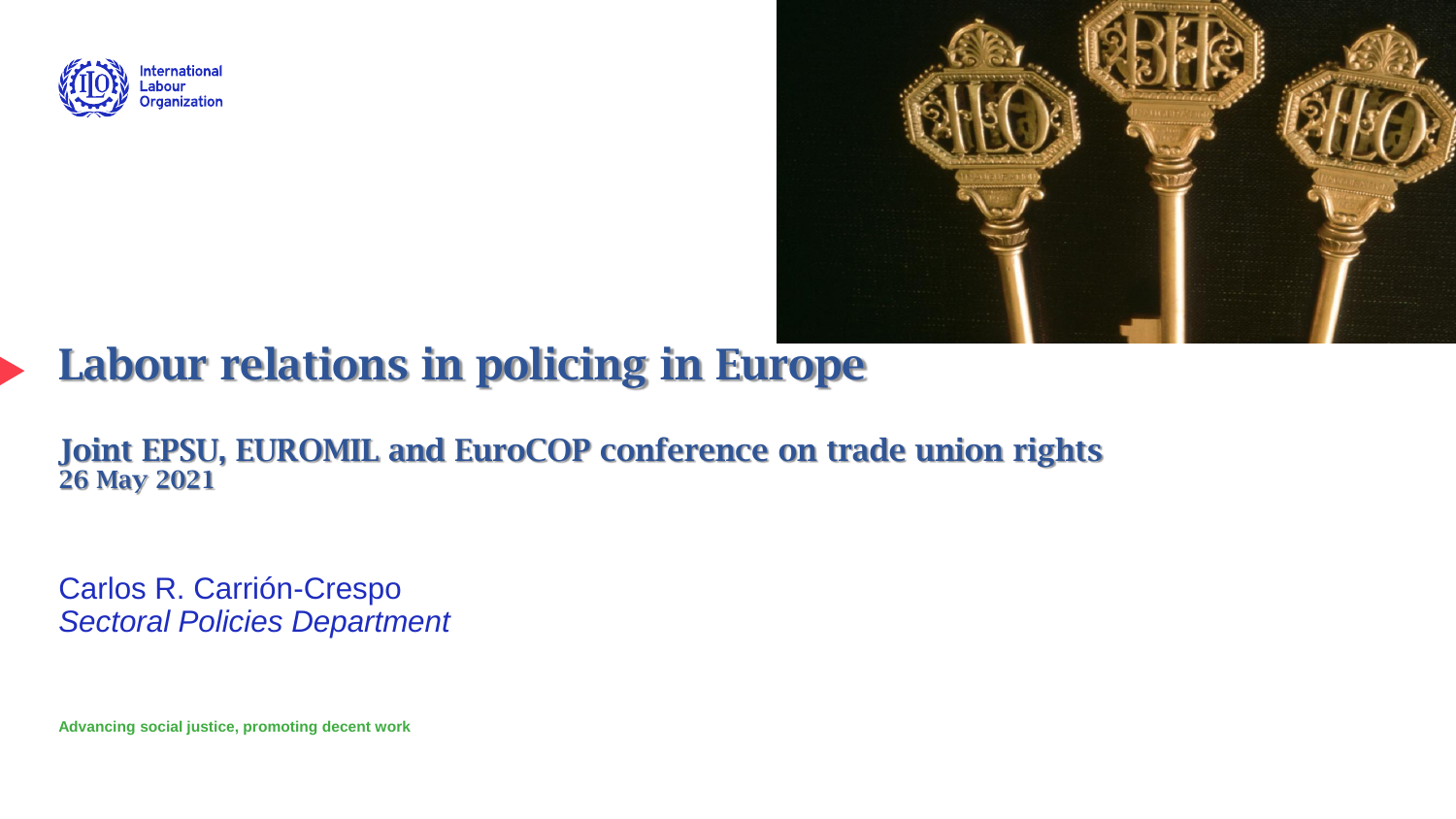



# Labour relations in policing in Europe

Joint EPSU, EUROMIL and EuroCOP conference on trade union rights 26 May 2021

Carlos R. Carrión-Crespo *Sectoral Policies Department*

**Advancing social justice, promoting decent work**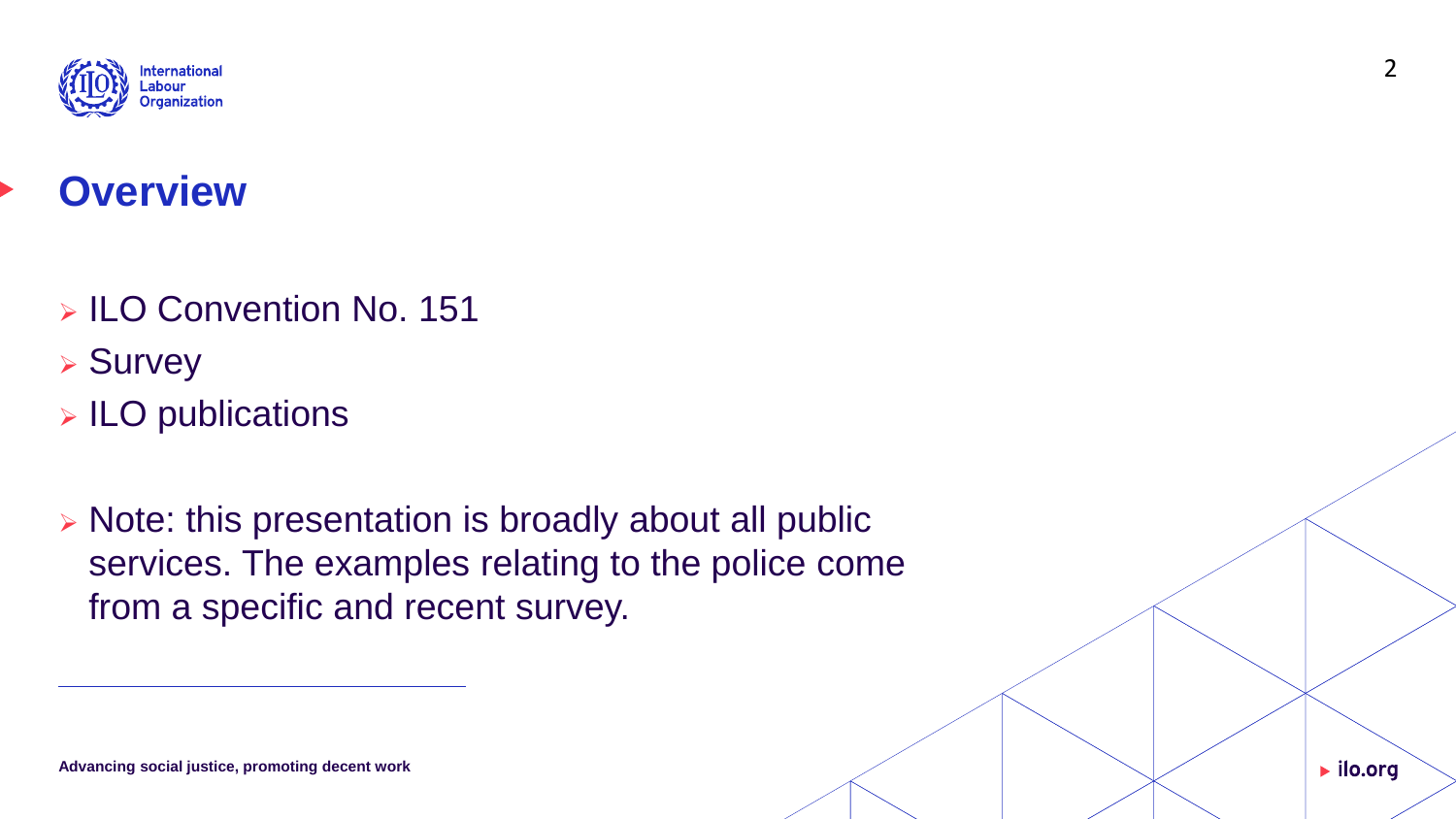

# **Overview**

- ➢ ILO Convention No. 151
- ➢ Survey
- ➢ ILO publications
- ➢ Note: this presentation is broadly about all public services. The examples relating to the police come from a specific and recent survey.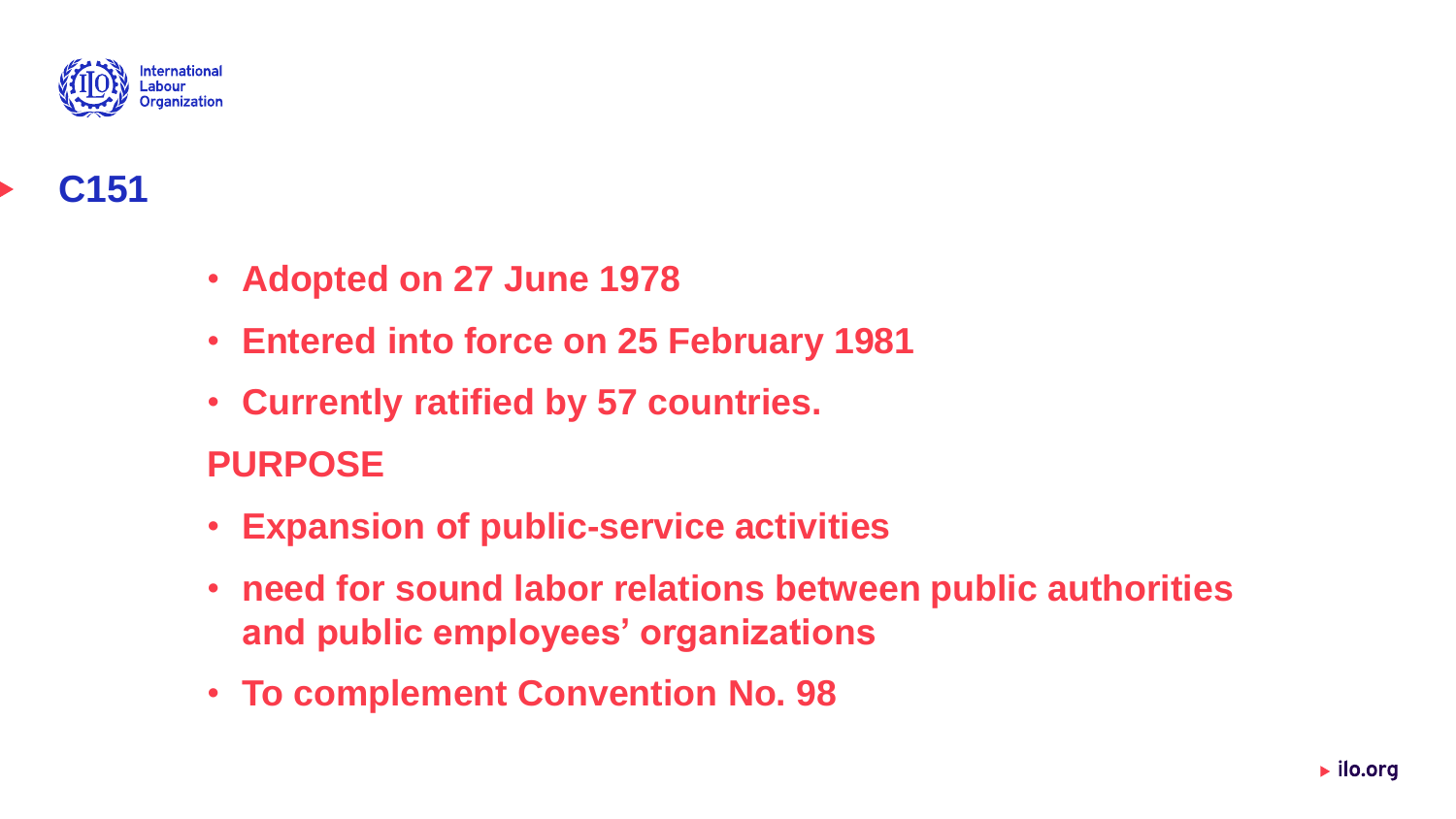

## **C151**

- **Adopted on 27 June 1978**
- **Entered into force on 25 February 1981**
- **Currently ratified by 57 countries.**

#### **PURPOSE**

- **Expansion of public-service activities**
- **need for sound labor relations between public authorities and public employees' organizations**
- **To complement Convention No. 98**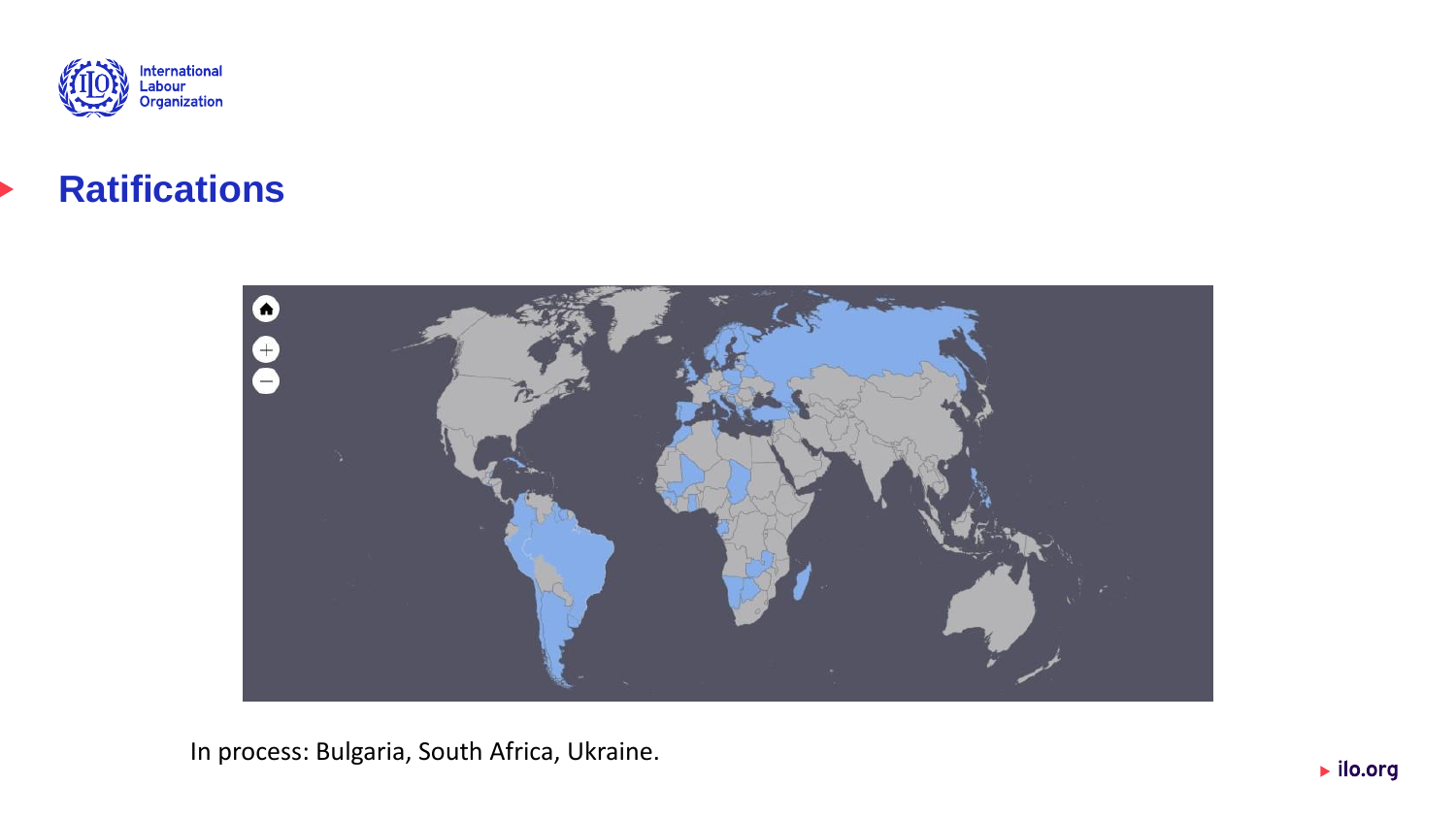

#### **Ratifications**



In process: Bulgaria, South Africa, Ukraine.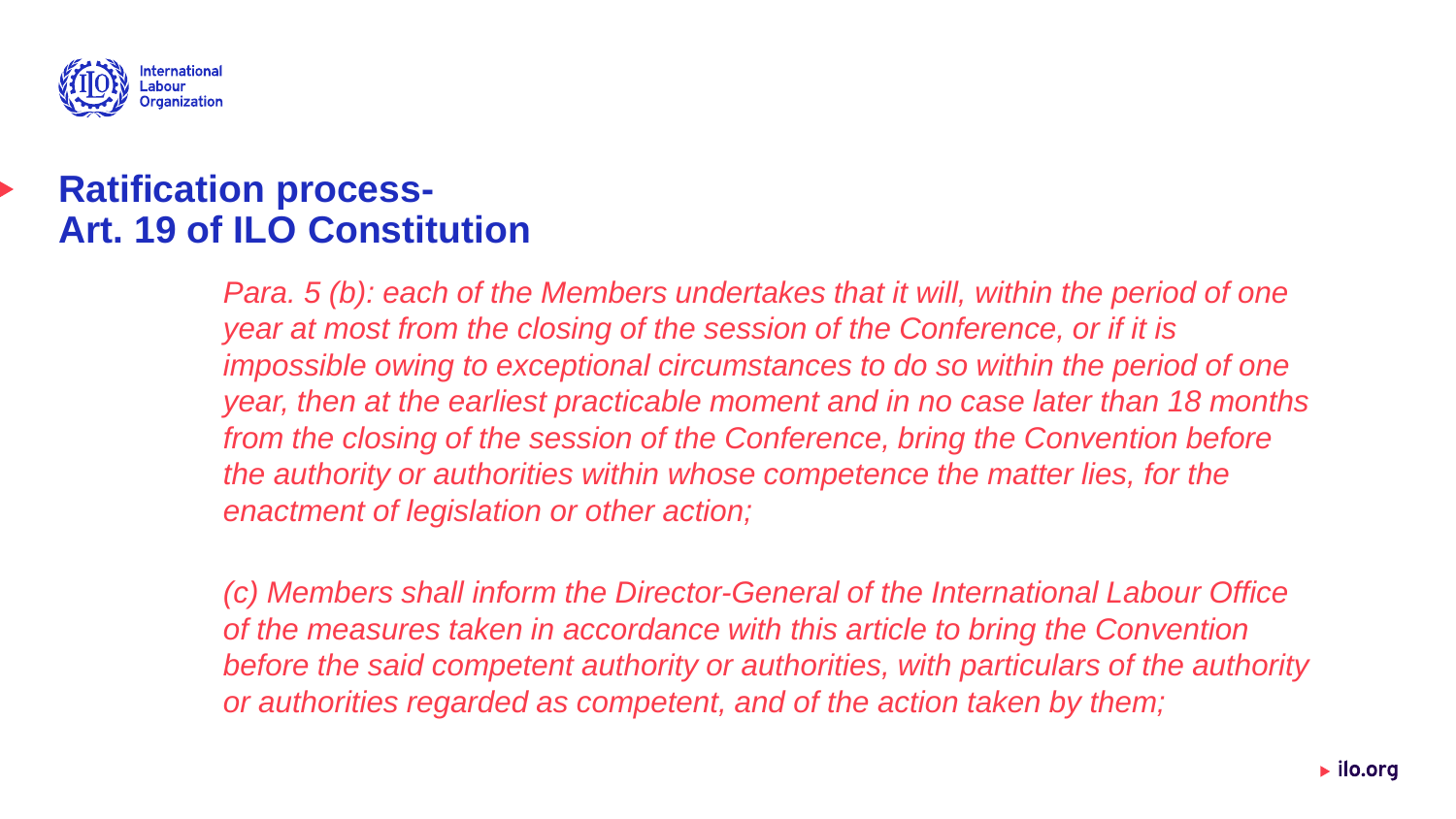

#### **Ratification process-Art. 19 of ILO Constitution**

*Para.* 5 (b): each of the Members undertakes that it will, within the period of one *year at most from the closing of the session of the Conference, or if it is impossible owing to exceptional circumstances to do so within the period of one year, then at the earliest practicable moment and in no case later than 18 months from the closing of the session of the Conference, bring the Convention before the authority or authorities within whose competence the matter lies, for the enactment of legislation or other action;*

*(c) Members shall inform the Director-General of the International Labour Office of the measures taken in accordance with this article to bring the Convention before the said competent authority or authorities, with particulars of the authority or authorities regarded as competent, and of the action taken by them;*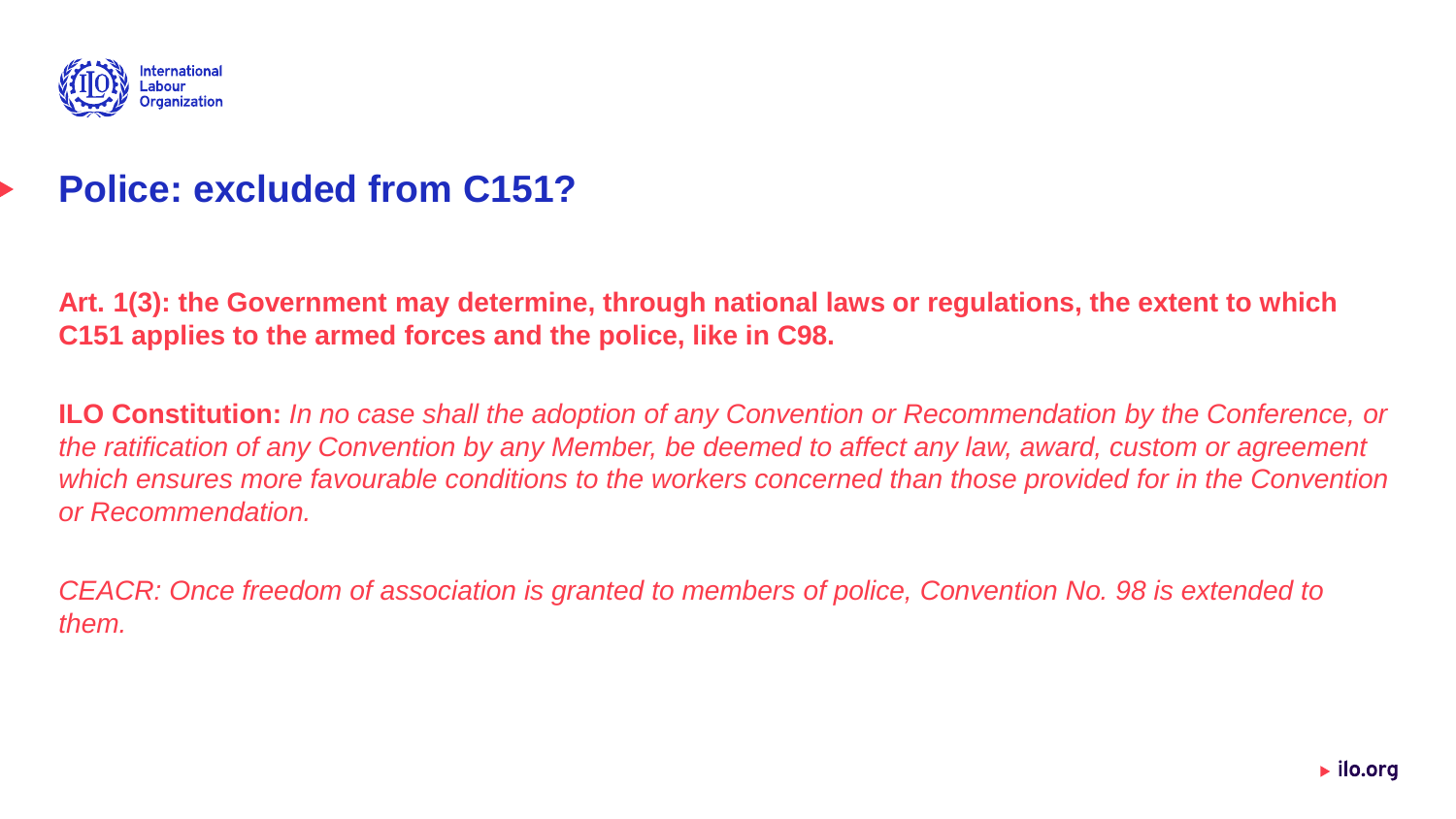

#### **Police: excluded from C151?**

**Art. 1(3): the Government may determine, through national laws or regulations, the extent to which C151 applies to the armed forces and the police, like in C98.**

**ILO Constitution:** *In no case shall the adoption of any Convention or Recommendation by the Conference, or the ratification of any Convention by any Member, be deemed to affect any law, award, custom or agreement which ensures more favourable conditions to the workers concerned than those provided for in the Convention or Recommendation.*

*CEACR: Once freedom of association is granted to members of police, Convention No. 98 is extended to them.*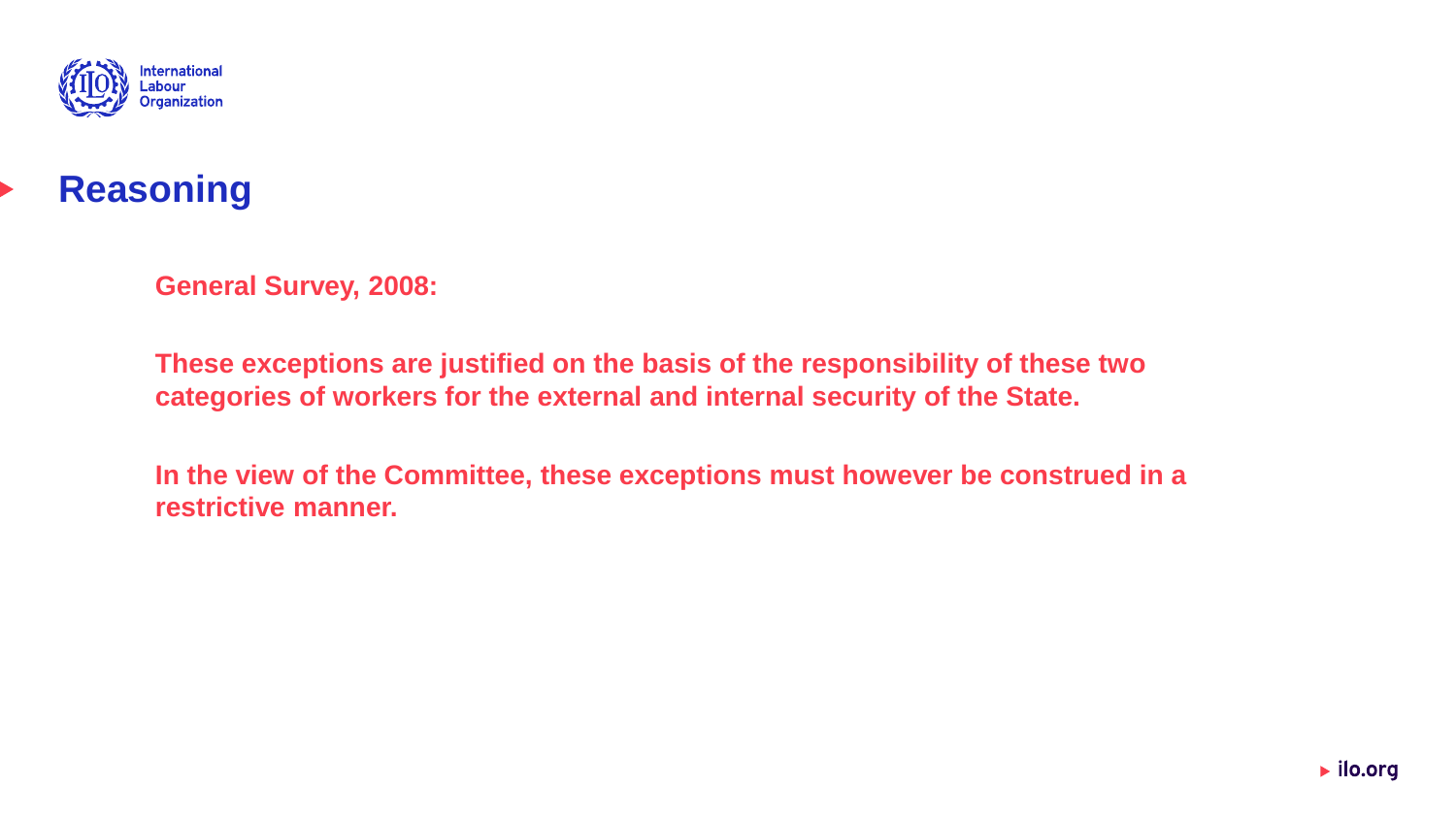



**General Survey, 2008:** 

**These exceptions are justified on the basis of the responsibility of these two categories of workers for the external and internal security of the State.** 

**In the view of the Committee, these exceptions must however be construed in a restrictive manner.**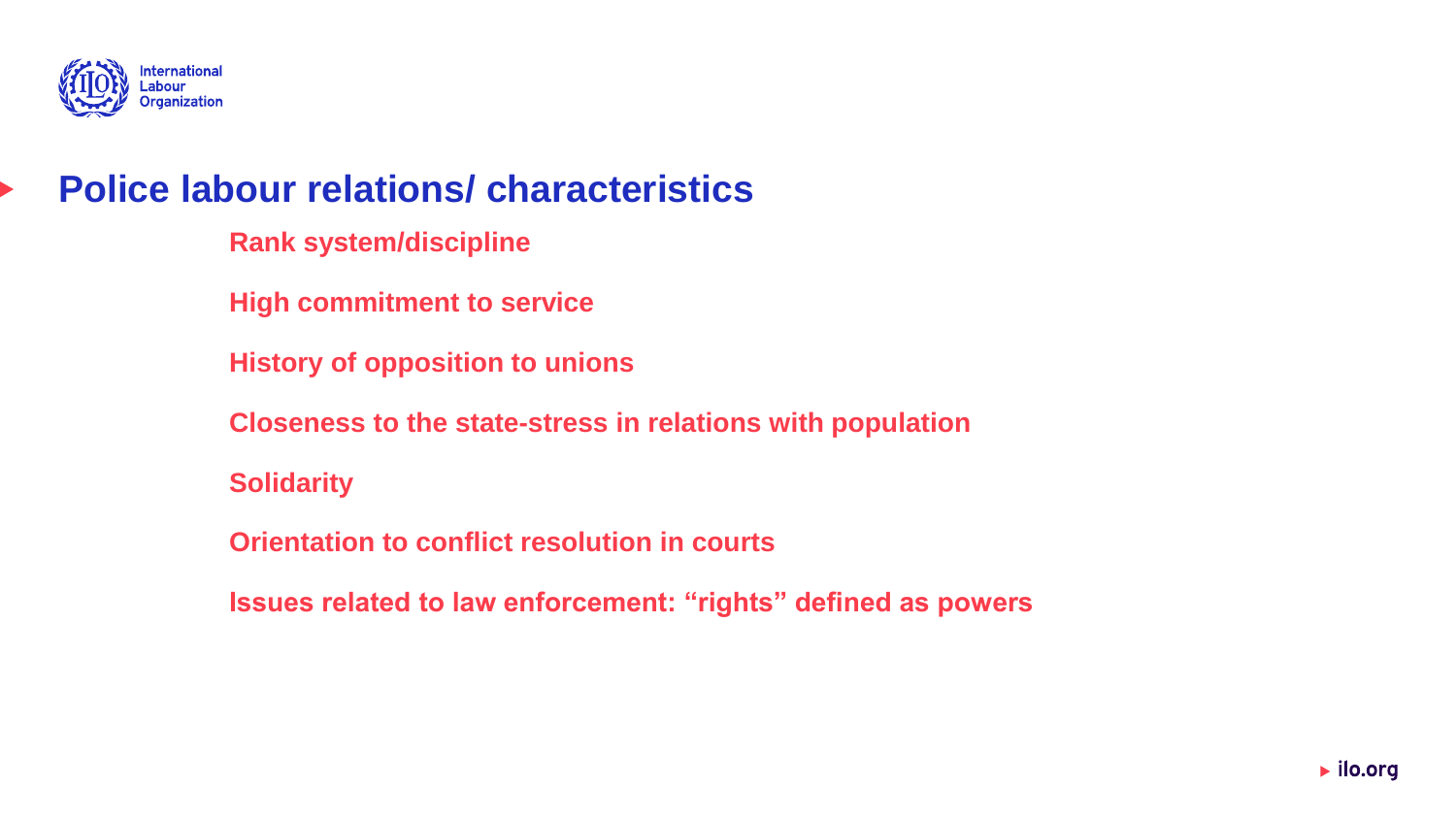

#### **Police labour relations/ characteristics**

- **Rank system/discipline**
- **High commitment to service**
- **History of opposition to unions**
- **Closeness to the state-stress in relations with population**
- **Solidarity**
- **Orientation to conflict resolution in courts**
- **Issues related to law enforcement: "rights" defined as powers**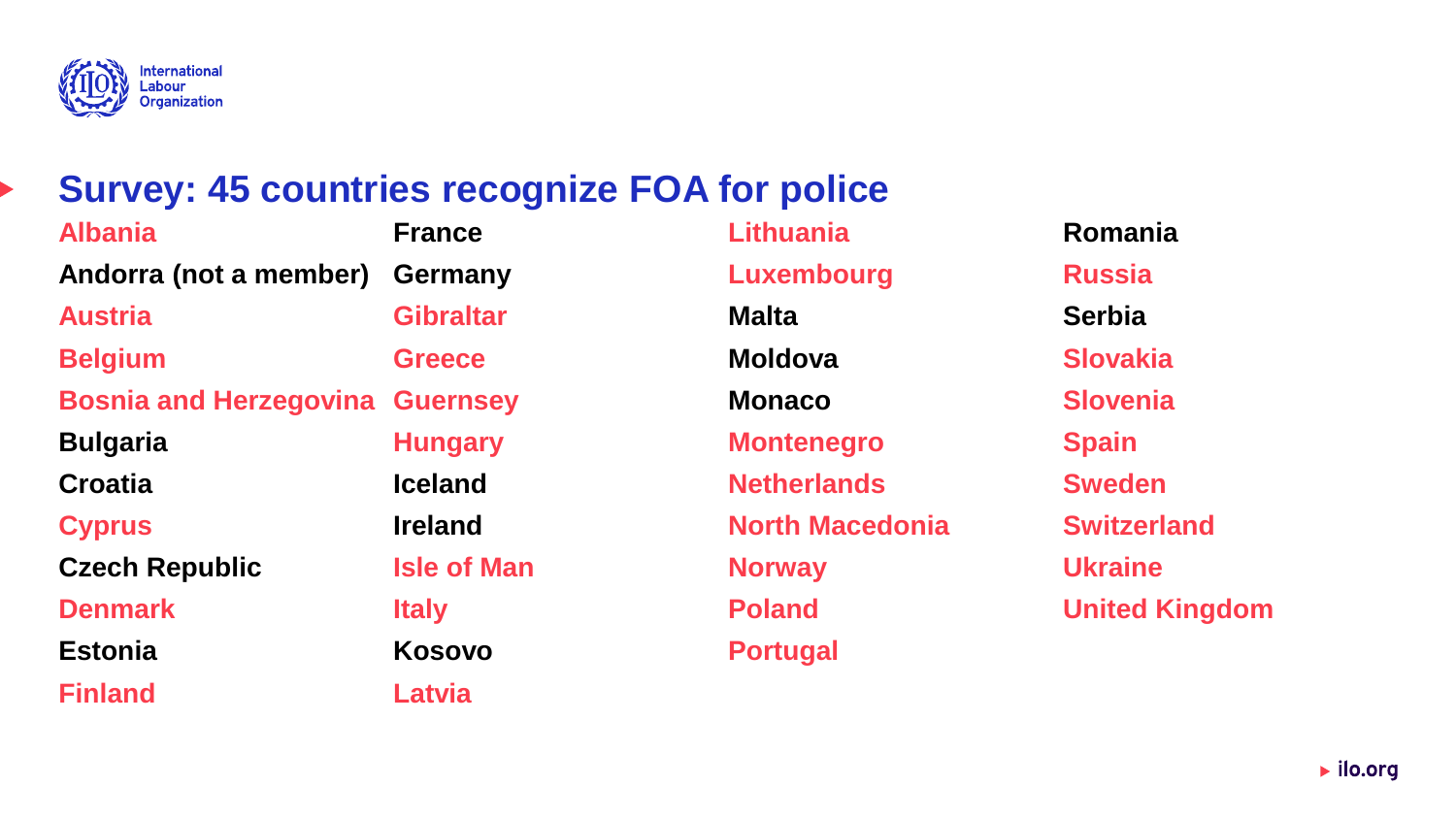

#### **Survey: 45 countries recognize FOA for police**

**Albania Andorra (not a member) Austria Belgium Bosnia and Herzegovina Guernsey Bulgaria Croatia Cyprus Czech Republic Denmark Estonia Finland France Germany Gibraltar Greece Hungary Iceland Ireland Isle of Man Italy Kosovo Latvia**

**Lithuania Luxembourg Malta Moldova Monaco Montenegro Netherlands North Macedonia Norway Poland Portugal**

**Romania Russia Serbia Slovakia Slovenia Spain Sweden Switzerland Ukraine United Kingdom**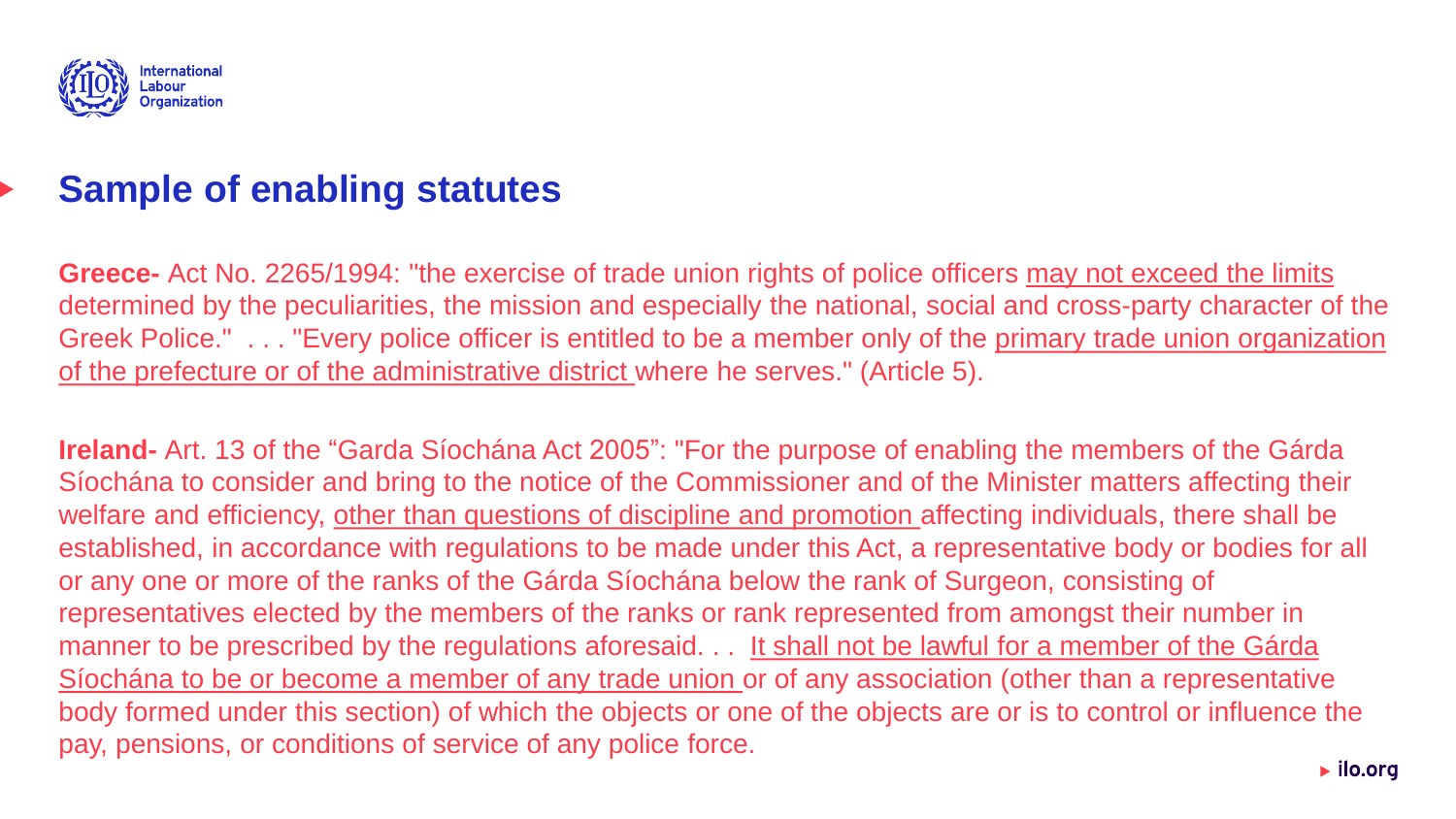

#### **Sample of enabling statutes**

**Greece-** Act No. 2265/1994: "the exercise of trade union rights of police officers may not exceed the limits determined by the peculiarities, the mission and especially the national, social and cross-party character of the Greek Police." . . . "Every police officer is entitled to be a member only of the primary trade union organization of the prefecture or of the administrative district where he serves." (Article 5).

**Ireland-** Art. 13 of the "Garda Síochána Act 2005": "For the purpose of enabling the members of the Gárda Síochána to consider and bring to the notice of the Commissioner and of the Minister matters affecting their welfare and efficiency, other than questions of discipline and promotion affecting individuals, there shall be established, in accordance with regulations to be made under this Act, a representative body or bodies for all or any one or more of the ranks of the Gárda Síochána below the rank of Surgeon, consisting of representatives elected by the members of the ranks or rank represented from amongst their number in manner to be prescribed by the regulations aforesaid. . . It shall not be lawful for a member of the Gárda Síochána to be or become a member of any trade union or of any association (other than a representative body formed under this section) of which the objects or one of the objects are or is to control or influence the pay, pensions, or conditions of service of any police force.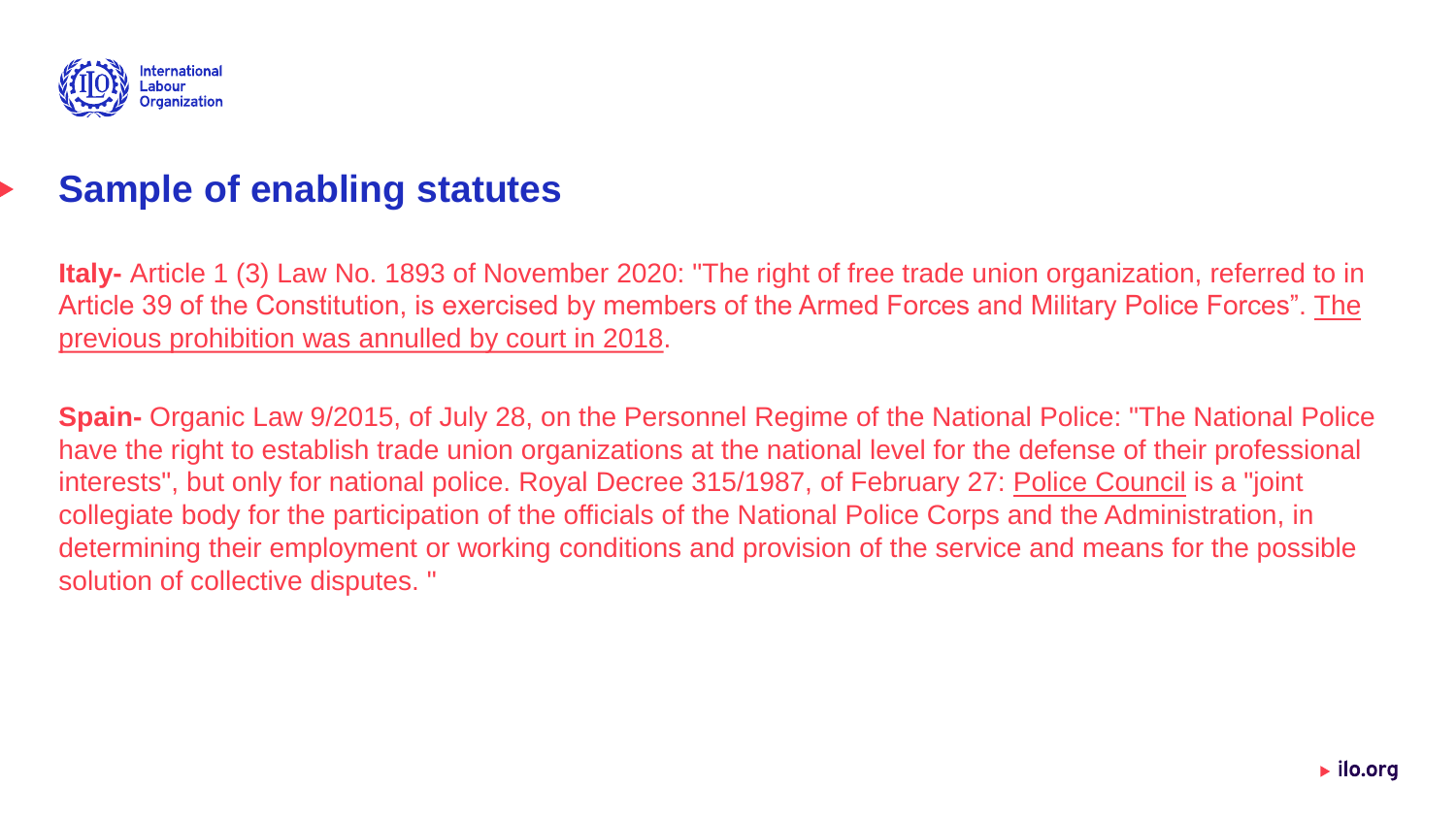

#### **Sample of enabling statutes**

**Italy-** Article 1 (3) Law No. 1893 of November 2020: "The right of free trade union organization, referred to in Article 39 of the Constitution, is exercised by members of the Armed Forces and Military Police Forces". The previous prohibition was annulled by court in 2018.

**Spain-** Organic Law 9/2015, of July 28, on the Personnel Regime of the National Police: "The National Police have the right to establish trade union organizations at the national level for the defense of their professional interests", but only for national police. Royal Decree 315/1987, of February 27: Police Council is a "joint collegiate body for the participation of the officials of the National Police Corps and the Administration, in determining their employment or working conditions and provision of the service and means for the possible solution of collective disputes. "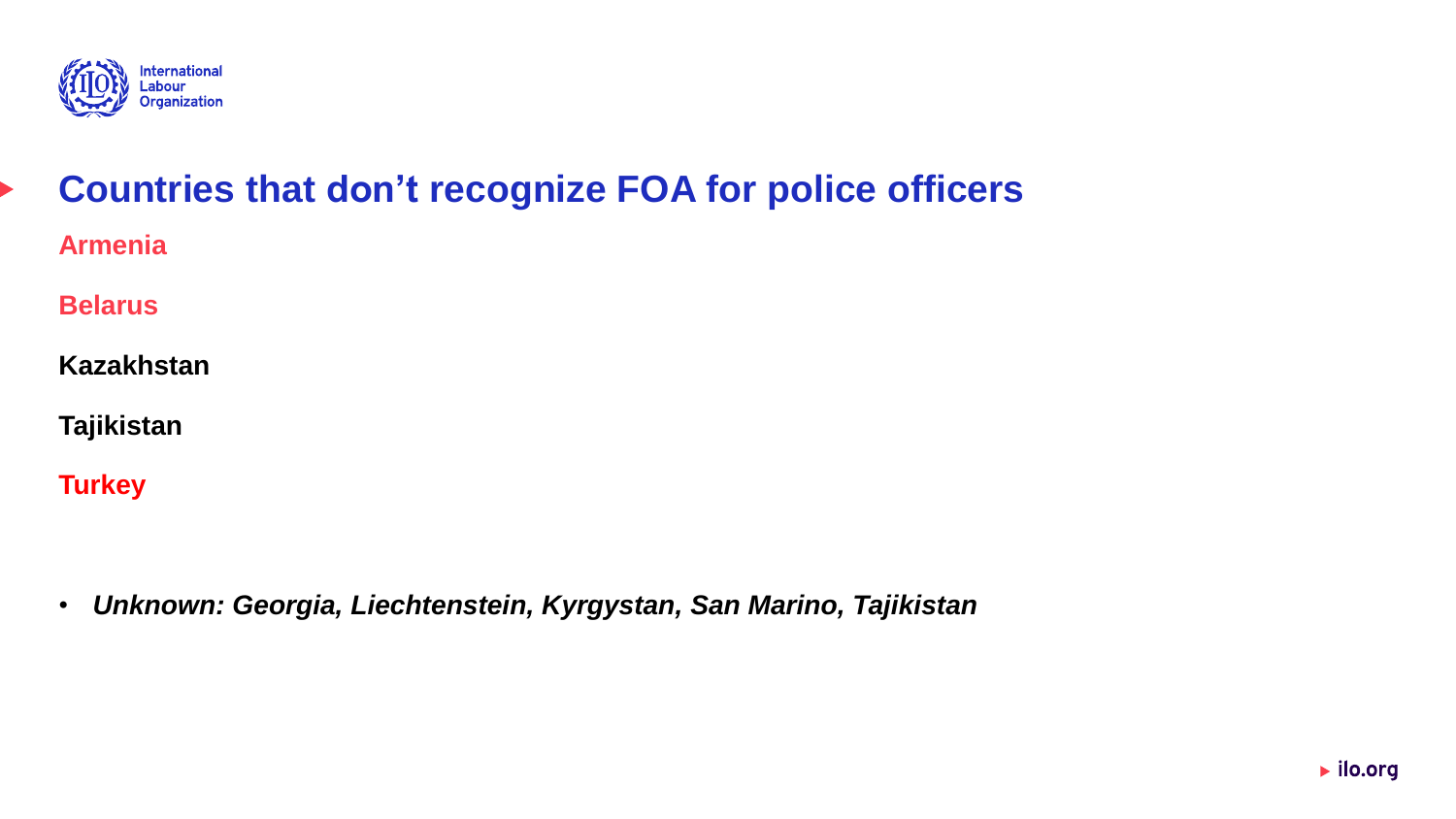

## **Countries that don't recognize FOA for police officers Armenia**

**Belarus**

**Kazakhstan**

**Tajikistan**

**Turkey**

• *Unknown: Georgia, Liechtenstein, Kyrgystan, San Marino, Tajikistan*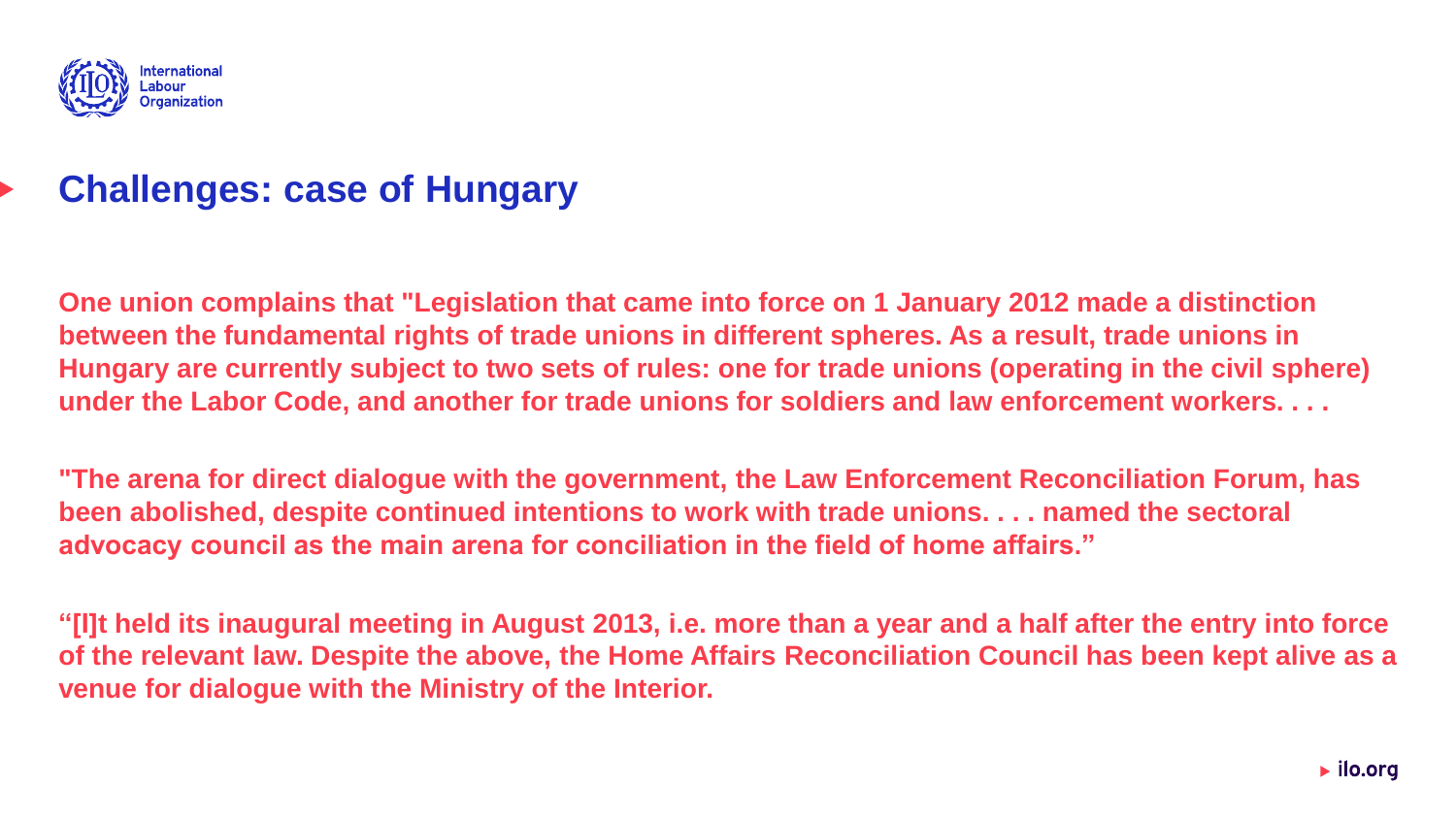

#### **Challenges: case of Hungary**

**One union complains that "Legislation that came into force on 1 January 2012 made a distinction between the fundamental rights of trade unions in different spheres. As a result, trade unions in Hungary are currently subject to two sets of rules: one for trade unions (operating in the civil sphere) under the Labor Code, and another for trade unions for soldiers and law enforcement workers. . . .**

**"The arena for direct dialogue with the government, the Law Enforcement Reconciliation Forum, has been abolished, despite continued intentions to work with trade unions. . . . named the sectoral advocacy council as the main arena for conciliation in the field of home affairs."**

**"[I]t held its inaugural meeting in August 2013, i.e. more than a year and a half after the entry into force of the relevant law. Despite the above, the Home Affairs Reconciliation Council has been kept alive as a venue for dialogue with the Ministry of the Interior.**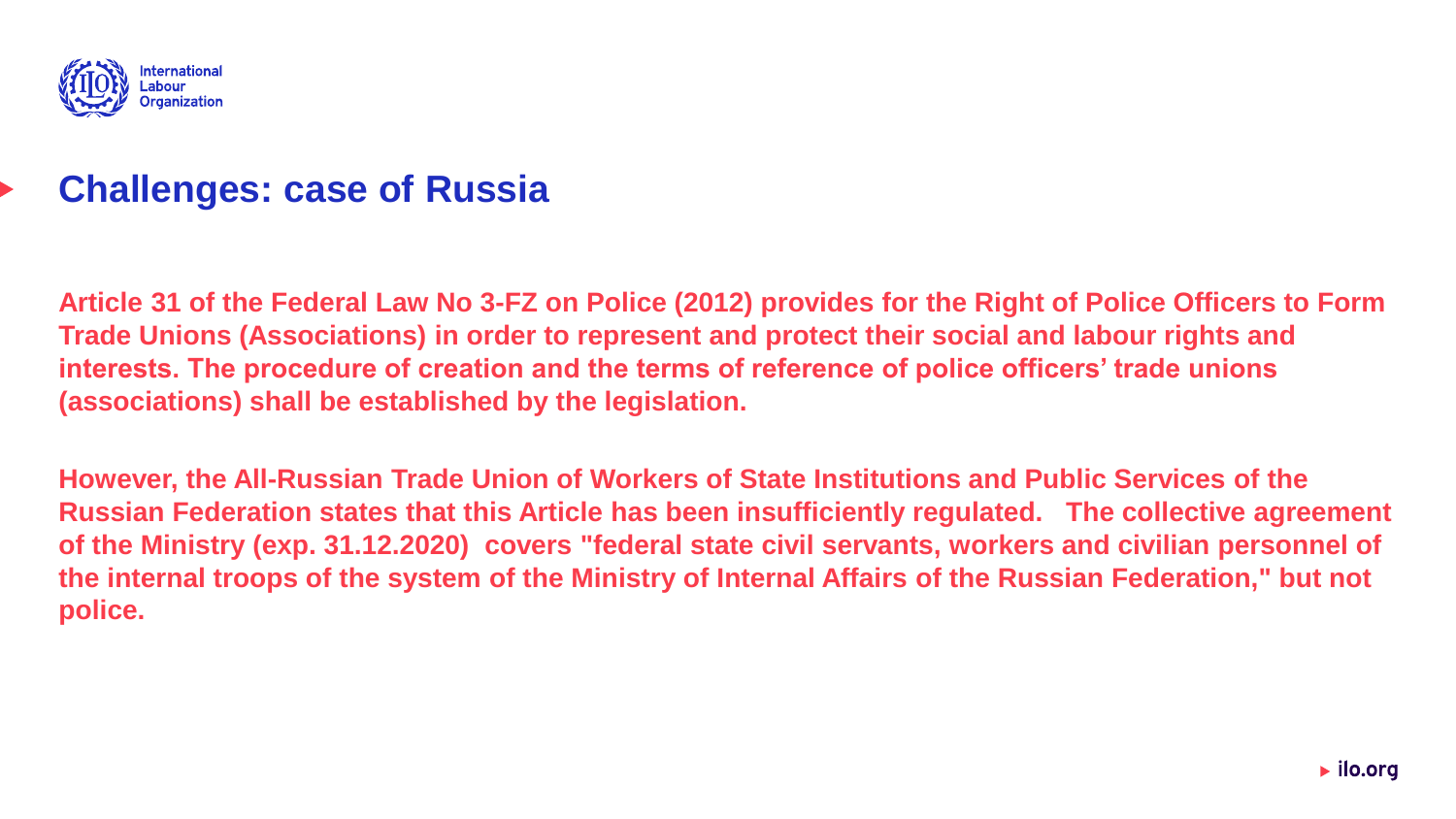

#### **Challenges: case of Russia**

**Article 31 of the Federal Law No 3-FZ on Police (2012) provides for the Right of Police Officers to Form Trade Unions (Associations) in order to represent and protect their social and labour rights and interests. The procedure of creation and the terms of reference of police officers' trade unions (associations) shall be established by the legislation.** 

**However, the All-Russian Trade Union of Workers of State Institutions and Public Services of the Russian Federation states that this Article has been insufficiently regulated. The collective agreement of the Ministry (exp. 31.12.2020) covers "federal state civil servants, workers and civilian personnel of the internal troops of the system of the Ministry of Internal Affairs of the Russian Federation," but not police.**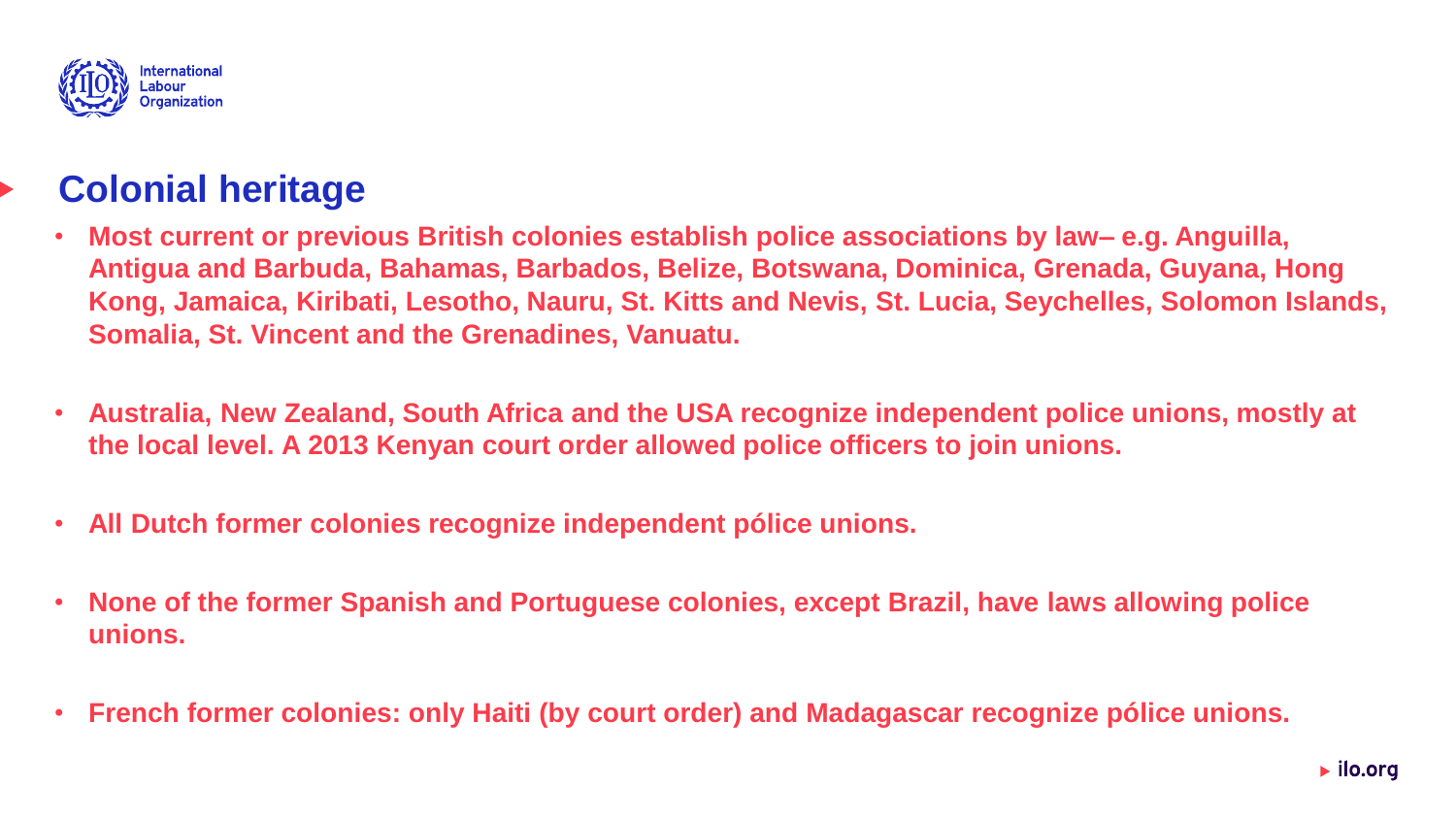

#### **Colonial heritage**

- **Most current or previous British colonies establish police associations by law– e.g. Anguilla, Antigua and Barbuda, Bahamas, Barbados, Belize, Botswana, Dominica, Grenada, Guyana, Hong Kong, Jamaica, Kiribati, Lesotho, Nauru, St. Kitts and Nevis, St. Lucia, Seychelles, Solomon Islands, Somalia, St. Vincent and the Grenadines, Vanuatu.**
- **Australia, New Zealand, South Africa and the USA recognize independent police unions, mostly at the local level. A 2013 Kenyan court order allowed police officers to join unions.**
- **All Dutch former colonies recognize independent pólice unions.**
- **None of the former Spanish and Portuguese colonies, except Brazil, have laws allowing police unions.**
- **French former colonies: only Haiti (by court order) and Madagascar recognize pólice unions.**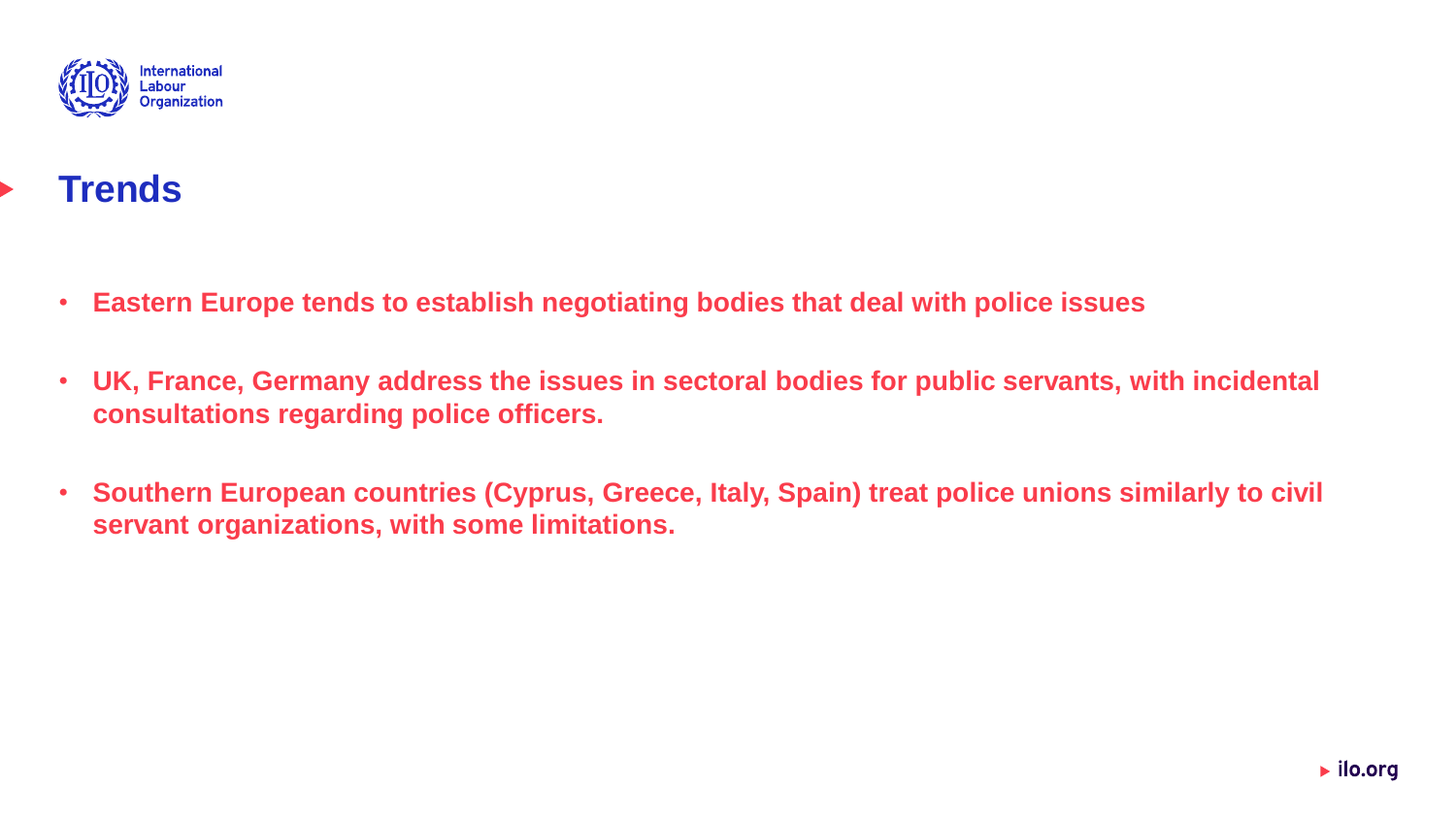

## **Trends**

- **Eastern Europe tends to establish negotiating bodies that deal with police issues**
- **UK, France, Germany address the issues in sectoral bodies for public servants, with incidental consultations regarding police officers.**
- **Southern European countries (Cyprus, Greece, Italy, Spain) treat police unions similarly to civil servant organizations, with some limitations.**